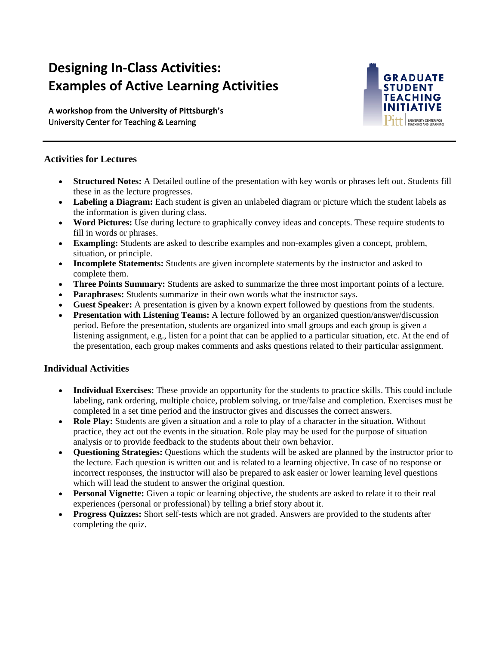# **Designing In-Class Activities: Examples of Active Learning Activities**

 **A workshop from the University of Pittsburgh's**  University Center for Teaching & Learning



## **Activities for Lectures**

- **Structured Notes:** A Detailed outline of the presentation with key words or phrases left out. Students fill these in as the lecture progresses.
- Labeling a Diagram: Each student is given an unlabeled diagram or picture which the student labels as the information is given during class.
- **Word Pictures:** Use during lecture to graphically convey ideas and concepts. These require students to fill in words or phrases.
- **Exampling:** Students are asked to describe examples and non-examples given a concept, problem, situation, or principle.
- **Incomplete Statements:** Students are given incomplete statements by the instructor and asked to complete them.
- **Three Points Summary:** Students are asked to summarize the three most important points of a lecture.
- **Paraphrases:** Students summarize in their own words what the instructor says.
- **Guest Speaker:** A presentation is given by a known expert followed by questions from the students.
- **Presentation with Listening Teams:** A lecture followed by an organized question/answer/discussion period. Before the presentation, students are organized into small groups and each group is given a listening assignment, e.g., listen for a point that can be applied to a particular situation, etc. At the end of the presentation, each group makes comments and asks questions related to their particular assignment.

## **Individual Activities**

- labeling, rank ordering, multiple choice, problem solving, or true/false and completion. Exercises must be • **Individual Exercises:** These provide an opportunity for the students to practice skills. This could include completed in a set time period and the instructor gives and discusses the correct answers.
- **Role Play:** Students are given a situation and a role to play of a character in the situation. Without practice, they act out the events in the situation. Role play may be used for the purpose of situation analysis or to provide feedback to the students about their own behavior.
- **Questioning Strategies:** Questions which the students will be asked are planned by the instructor prior to the lecture. Each question is written out and is related to a learning objective. In case of no response or incorrect responses, the instructor will also be prepared to ask easier or lower learning level questions which will lead the student to answer the original question.
- **Personal Vignette:** Given a topic or learning objective, the students are asked to relate it to their real experiences (personal or professional) by telling a brief story about it.
- **Progress Quizzes:** Short self-tests which are not graded. Answers are provided to the students after completing the quiz.